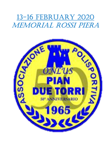# 13-16 FebRUARY 2020 MeMoRiAl Rossi PieRA

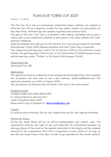# PIAN DUE TORRI CUP 2020

Version 1 – 27/10/19

The Pian Due Torri Cup is a promotional competition where athletes can compete in different non official categories divided for age (where number of participants are less than three, different age will compete together) and technical level.

The goal of Pian Due Torri Cup is to promote roller skating disciplines and to give a chance also to non-competitive athletes to participate in the same contest with roller skating's champions.

Clubs and athletes that take part to the Pian Due Torri Cup can participate to the Rome International Trophy 2020 Opening Ceremony with their club's flag or mascotte.

The competition will take place from 13 to 16 February 2020 on two different tracks in Rome: the sporting palace "PalaTorrino", in Via Fiume Giallo 47 (20x40 wooden track), and the sporting center "Tellene" in Via Claudio Villa (parquet 22x36).

Subscription fee Individual Free: 15€

#### **Applications**

The application must be completed on the enclosed herewith application form, properly and accurately and then sent to the e-mail address: skateroma@yahoo.com The application deadline is on 19th of January 2020.

Any cancellation by February 2nd will result in the loss of the total amount.

## Payment account

IT29D02 0080 5226 0004 0049 4259 to: onlus polisportiva pian due torri cause of payment: Rome 2020 Please send a copy of payment to: skateroma@yahoo.com

**Tickets** 

It could be ask an entrance fee for the competitions and for the Opening Ceremony

#### Photos and Videos

During the event there will be an official photographer and camera -man. The organization reserves the right to use such materials for promotional purposes, by placing pictures of the event on the website dedicated to the trophy and the channels reserved to the organization. Each Club is requested to send a photo of its Logo, as well the Curriculum Vitae of the Club, in order to get published on the event's website.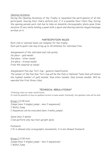#### Opening Ceremony

During the Opening Ceremony of the Trophy is requested the participation of all the participant, bearing their Club's uniform and, if it is possible their Club's flag. During the opening parade each club has to take an immobile choreographic photo pose (time duration 10 sec) while holding a panel with a sport and sharing emotion slogan/message written on it.

# PARTECIPATION RULES

Each club or national team can compete for the trophy. Each participant club may bring up to 30 athletes for individual free

Assignement of the individual and club points 1st place – gold medal 2nd place – silver medal 3rd place – bronze medal From 4th onwards no medal

Assignement Pian due Torri Cup – general classification

The winner of the Pian Due Torri Cup will be the Club or National Team that will obtain the highest number of gold medals, than silver medals, than bronze medals. Will be awarded the first three clubs.

## TECHNICAL REGULATIONS\*

\*following rules are under modification. It could be possible to have an updated version in some weeks. Eventually, the updated rules will be sent

Group 1 (2.00 min) Jumps (max 3 singles jumps – max 2 sequences): Waltz Jump  $\Box$  Sequences can be executed (max 3 waltz jumps)

Spins (max 2 spins):  $\Box$  Can perform only two foot upright spins

Footwork:  $I$  It is allowed only coreographic movements, it is not allowed footwork

Group 2 (2.00 min) Jumps (max 3 singles jumps – max 2 sequences): Waltz Jump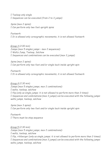$\Box$  Toeloop only single  $I$  Sequences can be executed (from 2 to 3 jumps)

Spins (max 2 spins):  $\Box$  Can perform only two foot upright spins

Footwork:  $I$  It is allowed only coreographic movements, it is not allowed footwork

Group 3 (2.00 min) Jumps (max 5 singles jumps – max 2 sequences): Waltz Jump, Toeloop, Salchow I Sequences and combinations can be executed (max  $3$  jumps)

Spins (max 2 spins):  $\Box$  Can perform only two foot and/or single back inside upright spin

Footwork:  $I$  It is allowed only coreographic movements, it is not allowed footwork

Group 4 (2.30 min) Jumps (max 5 singles jumps, max 2 combinations): waltz, toeloop, salchow  $\Box$  flip (only as single jumps; it is not allowed to perform more than 3 times) I Sequences and combinations (max  $3$  jumps) can be executed with the following jumps: waltz jumps, toeloop, salchow

Spins (max 3 spins):  $\Box$  Can perform only two foot and/or single back inside upright spin

Footwork:  $\Box$  There must be step sequence

Group 5 (2.30 min) Jumps (max 5 singles jumps, max 2 combinations): waltz, toeloop, salchow  $\Box$  flip, rittberger (only as single jumps; it is not allowed to perform more than 3 times)  $\Box$  Sequences and combinations (max 3 jumps) can be executed with the following jumps: waltz jumps, toeloop, salchow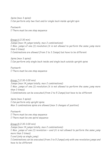Spins (max 3 spins):  $\Box$  Can perform only two foot and/or single back inside upright spin

Footwork:  $I$  There must be one step sequence

Group 6 (2.30 min) Jumps (max 14 jumps totally, max 2 combinations):  $\Box$  Max. jumps of one (1) revolution (it is not allowed to perform the same jump more than 3 times)  $\Box$  Combinations are allowed (from 2 to 3 Jumps) but have to be different

Spins (max 3 spins):  $\Box$  Can perform only single back inside and single back outside upright spins

Footwork:  $I$  There must be one step sequence

Group 7 (2.30-3.00 min) Jumps (max 14 jumps totally, max 2 combinations):  $\Box$  Max. jumps of one (1) revolution (it is not allowed to perform the same jump more than 3 times)  $\Box$  Combinations can be executed (from 2 to 5 Jumps) but have to be different

Spins (max 3 spins):  $\Box$  Can perform only upright spins. Max 3 combinations spins are allowed (max 3 changes of position)

Footwork:  $I$  There must be one step sequence  $\Box$  There must be one spiral sequence

Group 8 (2.30-3.00 min) Jumps (max 14 jumps totally, max 2 combinations):  $\Box$  Max. jumps of one (1) revolution + axel (it is not allowed to perform the same jump more than 3 times)  $\Box$  axel (only as single jump) Combinations can be executed (from 2 to 5 Jumps) only with one revolution jumps and have to be different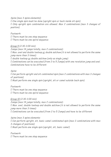Spins (max 3 spins elements):

 $\Box$  One single spin must be done (upright spin or back inside sit spin) Only upright spin combination are allowed. Max 2 combinations (max 3 changes of position)

Footwork:  $I$  There must be one step sequence  $\Box$  There must be one spiral sequence

Group 9 (2.30-3.00 min)

Jumps (max 14 jumps totally, max 2 combinations): Max. axel and double toeloop or double salchow (it is not allowed to perform the same jump more than 3 times)  $\Box$  double toeloop or double salchow (only as single jump) Combinations can be executed (from 2 to 5 Jumps) with one revolution jump and axel. Combinations have to be different

Spins: Can perform upright and sit combinated spin (max 2 combinations with max 3 changes of positions) Must perform one single spin (upright, sit or camel outside back spin)

Footwork:  $I$  There must be one step sequence  $I$  There must be one spiral sequence

Group 10 (2.30-3.00 min) Jumps (max 14 jumps totally, max 2 combinations):  $\Box$  Max. axel, double toeloop and double salchow (it is not allowed to perform the same jump more than 3 times)  $\Box$  Combinations can be executed (from 2 to 5 Jumps) and have to be different

Spins (max 3 spins elements:  $\Box$  Can perform upright, sit, basic camel combinated spin (max 2 combinations with max 3 changes of positions) Must perform one single spin (upright, sit, basic camel)

Footwork:  $I$  There must be one step sequence